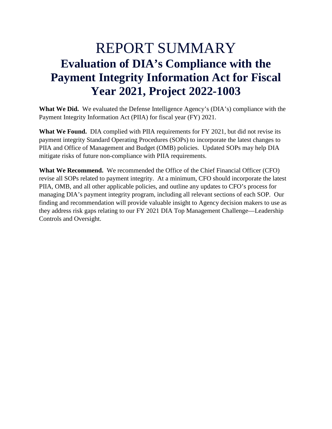# REPORT SUMMARY **Evaluation of DIA's Compliance with the Payment Integrity Information Act for Fiscal Year 2021, Project 2022-1003**

**What We Did.** We evaluated the Defense Intelligence Agency's (DIA's) compliance with the Payment Integrity Information Act (PIIA) for fiscal year (FY) 2021.

**What We Found.** DIA complied with PIIA requirements for FY 2021, but did not revise its payment integrity Standard Operating Procedures (SOPs) to incorporate the latest changes to PIIA and Office of Management and Budget (OMB) policies. Updated SOPs may help DIA mitigate risks of future non-compliance with PIIA requirements.

**What We Recommend.** We recommended the Office of the Chief Financial Officer (CFO) revise all SOPs related to payment integrity. At a minimum, CFO should incorporate the latest PIIA, OMB, and all other applicable policies, and outline any updates to CFO's process for managing DIA's payment integrity program, including all relevant sections of each SOP. Our finding and recommendation will provide valuable insight to Agency decision makers to use as they address risk gaps relating to our FY 2021 DIA Top Management Challenge—Leadership Controls and Oversight.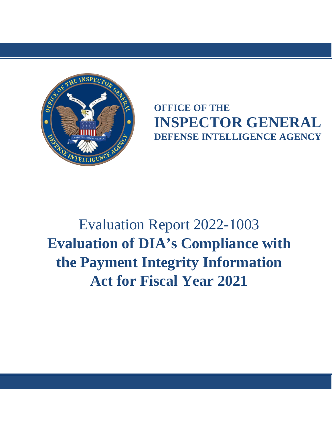

# **OFFICE OF THE INSPECTOR GENERAL DEFENSE INTELLIGENCE AGENCY**

# Evaluation Report 2022-1003 **Evaluation of DIA's Compliance with the Payment Integrity Information Act for Fiscal Year 2021**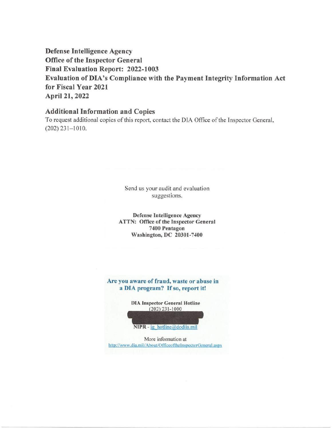**Defense Intelligence Agency Office of the Inspector General** Final Evaluation Report: 2022-1003 Evaluation of DIA's Compliance with the Payment Integrity Information Act for Fiscal Year 2021 April 21, 2022

#### **Additional Information and Copies**

To request additional copies of this report, contact the DIA Office of the Inspector General,  $(202)$  231-1010.

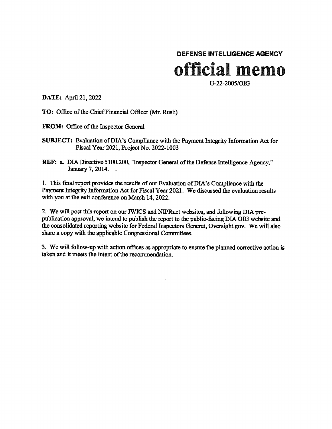

U-22-2005/OIG

**DATE:** April 21, 2022

TO: Office of the Chief Financial Officer (Mr. Rush)

**FROM:** Office of the Inspector General

- **SUBJECT:** Evaluation of DIA's Compliance with the Payment Integrity Information Act for Fiscal Year 2021, Project No. 2022-1003
- REF: a. DIA Directive 5100.200, "Inspector General of the Defense Intelligence Agency," January 7, 2014.

1. This final report provides the results of our Evaluation of DIA's Compliance with the Payment Integrity Information Act for Fiscal Year 2021. We discussed the evaluation results with you at the exit conference on March 14, 2022.

2. We will post this report on our JWICS and NIPRnet websites, and following DIA prepublication approval, we intend to publish the report to the public-facing DIA OIG website and the consolidated reporting website for Federal Inspectors General, Oversight.gov. We will also share a copy with the applicable Congressional Committees.

3. We will follow-up with action offices as appropriate to ensure the planned corrective action is taken and it meets the intent of the recommendation.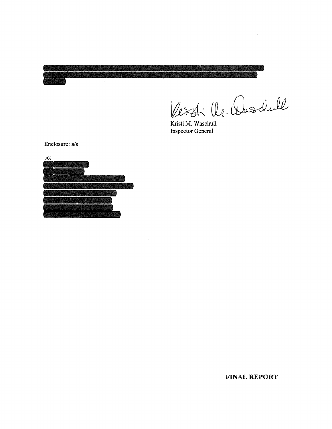Reich: le Cosdull

Kristi M. Waschull **Inspector General** 

Enclosure: a/s



**FINAL REPORT**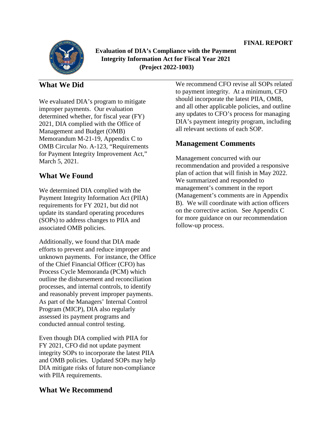

**Evaluation of DIA's Compliance with the Payment Integrity Information Act for Fiscal Year 2021 (Project 2022-1003)**

#### **What We Did**

We evaluated DIA's program to mitigate improper payments. Our evaluation determined whether, for fiscal year (FY) 2021, DIA complied with the Office of Management and Budget (OMB) Memorandum M-21-19, Appendix C to OMB Circular No. A-123, "Requirements for Payment Integrity Improvement Act," March 5, 2021.

#### **What We Found**

We determined DIA complied with the Payment Integrity Information Act (PIIA) requirements for FY 2021, but did not update its standard operating procedures (SOPs) to address changes to PIIA and associated OMB policies.

Additionally, we found that DIA made efforts to prevent and reduce improper and unknown payments. For instance, the Office of the Chief Financial Officer (CFO) has Process Cycle Memoranda (PCM) which outline the disbursement and reconciliation processes, and internal controls, to identify and reasonably prevent improper payments. As part of the Managers' Internal Control Program (MICP), DIA also regularly assessed its payment programs and conducted annual control testing.

Even though DIA complied with PIIA for FY 2021, CFO did not update payment integrity SOPs to incorporate the latest PIIA and OMB policies. Updated SOPs may help DIA mitigate risks of future non-compliance with PIIA requirements.

#### **What We Recommend**

We recommend CFO revise all SOPs related to payment integrity. At a minimum, CFO should incorporate the latest PIIA, OMB, and all other applicable policies, and outline any updates to CFO's process for managing DIA's payment integrity program, including all relevant sections of each SOP.

#### **Management Comments**

Management concurred with our recommendation and provided a responsive plan of action that will finish in May 2022. We summarized and responded to management's comment in the report (Management's comments are in Appendix B). We will coordinate with action officers on the corrective action. See Appendix C for more guidance on our recommendation follow-up process.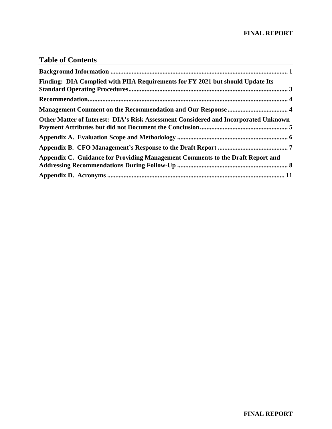#### **FINAL REPORT**

### **Table of Contents**

| Finding: DIA Complied with PIIA Requirements for FY 2021 but should Update Its             |  |
|--------------------------------------------------------------------------------------------|--|
|                                                                                            |  |
|                                                                                            |  |
| <b>Other Matter of Interest: DIA's Risk Assessment Considered and Incorporated Unknown</b> |  |
|                                                                                            |  |
|                                                                                            |  |
| Appendix C. Guidance for Providing Management Comments to the Draft Report and             |  |
|                                                                                            |  |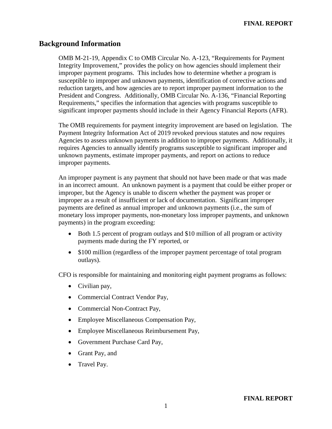#### <span id="page-7-0"></span>**Background Information**

OMB M-21-19, Appendix C to OMB Circular No. A-123, "Requirements for Payment Integrity Improvement," provides the policy on how agencies should implement their improper payment programs. This includes how to determine whether a program is susceptible to improper and unknown payments, identification of corrective actions and reduction targets, and how agencies are to report improper payment information to the President and Congress. Additionally, OMB Circular No. A-136, "Financial Reporting Requirements," specifies the information that agencies with programs susceptible to significant improper payments should include in their Agency Financial Reports (AFR).

The OMB requirements for payment integrity improvement are based on legislation. The Payment Integrity Information Act of 2019 revoked previous statutes and now requires Agencies to assess unknown payments in addition to improper payments. Additionally, it requires Agencies to annually identify programs susceptible to significant improper and unknown payments, estimate improper payments, and report on actions to reduce improper payments.

An improper payment is any payment that should not have been made or that was made in an incorrect amount. An unknown payment is a payment that could be either proper or improper, but the Agency is unable to discern whether the payment was proper or improper as a result of insufficient or lack of documentation. Significant improper payments are defined as annual improper and unknown payments (i.e., the sum of monetary loss improper payments, non-monetary loss improper payments, and unknown payments) in the program exceeding:

- Both 1.5 percent of program outlays and \$10 million of all program or activity payments made during the FY reported, or
- \$100 million (regardless of the improper payment percentage of total program outlays).

CFO is responsible for maintaining and monitoring eight payment programs as follows:

- Civilian pay,
- Commercial Contract Vendor Pay,
- Commercial Non-Contract Pay,
- Employee Miscellaneous Compensation Pay,
- Employee Miscellaneous Reimbursement Pay,
- Government Purchase Card Pay,
- Grant Pay, and
- Travel Pay.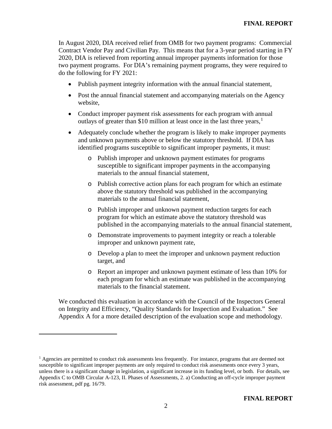In August 2020, DIA received relief from OMB for two payment programs: Commercial Contract Vendor Pay and Civilian Pay. This means that for a 3-year period starting in FY 2020, DIA is relieved from reporting annual improper payments information for those two payment programs. For DIA's remaining payment programs, they were required to do the following for FY 2021:

- Publish payment integrity information with the annual financial statement,
- Post the annual financial statement and accompanying materials on the Agency website,
- Conduct improper payment risk assessments for each program with annual outlays of greater than \$10 million at least once in the last three years, [1](#page-8-0)
- Adequately conclude whether the program is likely to make improper payments and unknown payments above or below the statutory threshold. If DIA has identified programs susceptible to significant improper payments, it must:
	- o Publish improper and unknown payment estimates for programs susceptible to significant improper payments in the accompanying materials to the annual financial statement,
	- o Publish corrective action plans for each program for which an estimate above the statutory threshold was published in the accompanying materials to the annual financial statement,
	- o Publish improper and unknown payment reduction targets for each program for which an estimate above the statutory threshold was published in the accompanying materials to the annual financial statement,
	- o Demonstrate improvements to payment integrity or reach a tolerable improper and unknown payment rate,
	- o Develop a plan to meet the improper and unknown payment reduction target, and
	- o Report an improper and unknown payment estimate of less than 10% for each program for which an estimate was published in the accompanying materials to the financial statement.

We conducted this evaluation in accordance with the Council of the Inspectors General on Integrity and Efficiency, "Quality Standards for Inspection and Evaluation." See Appendix A for a more detailed description of the evaluation scope and methodology.

 $\overline{a}$ 

<span id="page-8-0"></span> $<sup>1</sup>$  Agencies are permitted to conduct risk assessments less frequently. For instance, programs that are deemed not</sup> susceptible to significant improper payments are only required to conduct risk assessments once every 3 years, unless there is a significant change in legislation, a significant increase in its funding level, or both. For details, see Appendix C to OMB Circular A-123, II. Phases of Assessments, 2. a) Conducting an off-cycle improper payment risk assessment, pdf pg. 16/79.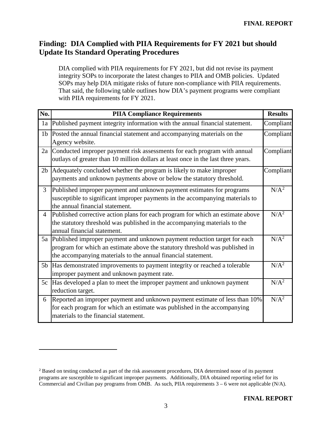#### <span id="page-9-0"></span>**Finding: DIA Complied with PIIA Requirements for FY 2021 but should Update Its Standard Operating Procedures**

DIA complied with PIIA requirements for FY 2021, but did not revise its payment integrity SOPs to incorporate the latest changes to PIIA and OMB policies. Updated SOPs may help DIA mitigate risks of future non-compliance with PIIA requirements. That said, the following table outlines how DIA's payment programs were compliant with PIIA requirements for FY 2021.

| No.            | <b>PIIA Compliance Requirements</b>                                                                                                                                                                                          | <b>Results</b>   |
|----------------|------------------------------------------------------------------------------------------------------------------------------------------------------------------------------------------------------------------------------|------------------|
| 1a             | Published payment integrity information with the annual financial statement.                                                                                                                                                 | Compliant        |
| 1 <sub>b</sub> | Posted the annual financial statement and accompanying materials on the<br>Agency website.                                                                                                                                   | Compliant        |
|                | 2a Conducted improper payment risk assessments for each program with annual<br>outlays of greater than 10 million dollars at least once in the last three years.                                                             | Compliant        |
| 2 <sub>b</sub> | Adequately concluded whether the program is likely to make improper<br>payments and unknown payments above or below the statutory threshold.                                                                                 | Compliant        |
| 3              | Published improper payment and unknown payment estimates for programs<br>susceptible to significant improper payments in the accompanying materials to<br>the annual financial statement.                                    | $N/A^2$          |
| $\overline{4}$ | Published corrective action plans for each program for which an estimate above<br>the statutory threshold was published in the accompanying materials to the<br>annual financial statement.                                  | $N/A^2$          |
|                | 5a Published improper payment and unknown payment reduction target for each<br>program for which an estimate above the statutory threshold was published in<br>the accompanying materials to the annual financial statement. | N/A <sup>2</sup> |
| 5 <sub>b</sub> | Has demonstrated improvements to payment integrity or reached a tolerable<br>improper payment and unknown payment rate.                                                                                                      | N/A <sup>2</sup> |
| 5c             | Has developed a plan to meet the improper payment and unknown payment<br>reduction target.                                                                                                                                   | N/A <sup>2</sup> |
| 6              | Reported an improper payment and unknown payment estimate of less than 10%<br>for each program for which an estimate was published in the accompanying<br>materials to the financial statement.                              | N/A <sup>2</sup> |

 $\overline{a}$ 

<span id="page-9-1"></span><sup>&</sup>lt;sup>2</sup> Based on testing conducted as part of the risk assessment procedures, DIA determined none of its payment programs are susceptible to significant improper payments. Additionally, DIA obtained reporting relief for its Commercial and Civilian pay programs from OMB. As such, PIIA requirements  $3 - 6$  were not applicable (N/A).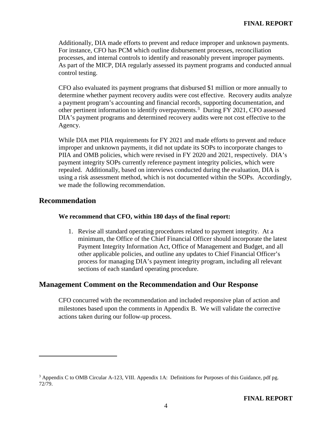Additionally, DIA made efforts to prevent and reduce improper and unknown payments. For instance, CFO has PCM which outline disbursement processes, reconciliation processes, and internal controls to identify and reasonably prevent improper payments. As part of the MICP, DIA regularly assessed its payment programs and conducted annual control testing.

CFO also evaluated its payment programs that disbursed \$1 million or more annually to determine whether payment recovery audits were cost effective. Recovery audits analyze a payment program's accounting and financial records, supporting documentation, and other pertinent information to identify overpayments. [3](#page-10-2) During FY 2021, CFO assessed DIA's payment programs and determined recovery audits were not cost effective to the Agency.

While DIA met PIIA requirements for FY 2021 and made efforts to prevent and reduce improper and unknown payments, it did not update its SOPs to incorporate changes to PIIA and OMB policies, which were revised in FY 2020 and 2021, respectively. DIA's payment integrity SOPs currently reference payment integrity policies, which were repealed. Additionally, based on interviews conducted during the evaluation, DIA is using a risk assessment method, which is not documented within the SOPs. Accordingly, we made the following recommendation.

#### <span id="page-10-0"></span>**Recommendation**

 $\overline{a}$ 

#### **We recommend that CFO, within 180 days of the final report:**

1. Revise all standard operating procedures related to payment integrity. At a minimum, the Office of the Chief Financial Officer should incorporate the latest Payment Integrity Information Act, Office of Management and Budget, and all other applicable policies, and outline any updates to Chief Financial Officer's process for managing DIA's payment integrity program, including all relevant sections of each standard operating procedure.

#### <span id="page-10-1"></span>**Management Comment on the Recommendation and Our Response**

CFO concurred with the recommendation and included responsive plan of action and milestones based upon the comments in Appendix B. We will validate the corrective actions taken during our follow-up process.

<span id="page-10-2"></span><sup>3</sup> Appendix C to OMB Circular A-123, VIII. Appendix 1A: Definitions for Purposes of this Guidance, pdf pg. 72/79.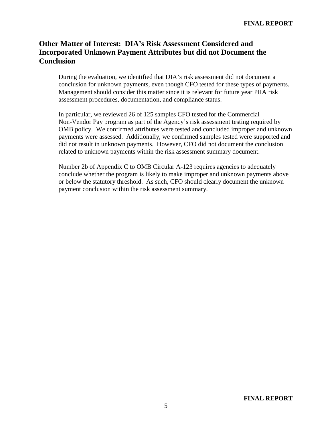#### <span id="page-11-0"></span>**Other Matter of Interest: DIA's Risk Assessment Considered and Incorporated Unknown Payment Attributes but did not Document the Conclusion**

During the evaluation, we identified that DIA's risk assessment did not document a conclusion for unknown payments, even though CFO tested for these types of payments. Management should consider this matter since it is relevant for future year PIIA risk assessment procedures, documentation, and compliance status.

In particular, we reviewed 26 of 125 samples CFO tested for the Commercial Non-Vendor Pay program as part of the Agency's risk assessment testing required by OMB policy. We confirmed attributes were tested and concluded improper and unknown payments were assessed. Additionally, we confirmed samples tested were supported and did not result in unknown payments. However, CFO did not document the conclusion related to unknown payments within the risk assessment summary document.

Number 2b of Appendix C to OMB Circular A-123 requires agencies to adequately conclude whether the program is likely to make improper and unknown payments above or below the statutory threshold. As such, CFO should clearly document the unknown payment conclusion within the risk assessment summary.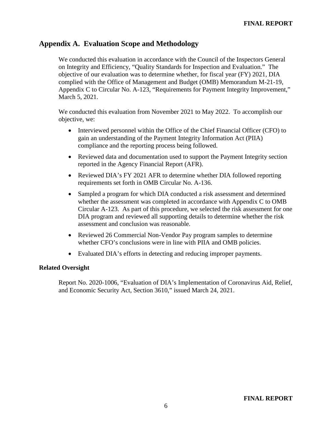#### <span id="page-12-0"></span>**Appendix A. Evaluation Scope and Methodology**

We conducted this evaluation in accordance with the Council of the Inspectors General on Integrity and Efficiency, "Quality Standards for Inspection and Evaluation." The objective of our evaluation was to determine whether, for fiscal year (FY) 2021, DIA complied with the Office of Management and Budget (OMB) Memorandum M-21-19, Appendix C to Circular No. A-123, "Requirements for Payment Integrity Improvement," March 5, 2021.

We conducted this evaluation from November 2021 to May 2022. To accomplish our objective, we:

- Interviewed personnel within the Office of the Chief Financial Officer (CFO) to gain an understanding of the Payment Integrity Information Act (PIIA) compliance and the reporting process being followed.
- Reviewed data and documentation used to support the Payment Integrity section reported in the Agency Financial Report (AFR).
- Reviewed DIA's FY 2021 AFR to determine whether DIA followed reporting requirements set forth in OMB Circular No. A-136.
- Sampled a program for which DIA conducted a risk assessment and determined whether the assessment was completed in accordance with Appendix C to OMB Circular A-123. As part of this procedure, we selected the risk assessment for one DIA program and reviewed all supporting details to determine whether the risk assessment and conclusion was reasonable.
- Reviewed 26 Commercial Non-Vendor Pay program samples to determine whether CFO's conclusions were in line with PIIA and OMB policies.
- Evaluated DIA's efforts in detecting and reducing improper payments.

#### **Related Oversight**

Report No. 2020-1006, "Evaluation of DIA's Implementation of Coronavirus Aid, Relief, and Economic Security Act, Section 3610," issued March 24, 2021.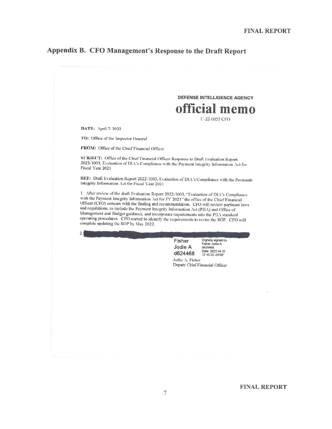#### Appendix B. CFO Management's Response to the Draft Report

DEFENSE INTELLIGENCE AGENCY official memo U-22-0055 CFO

DATE: April 7, 2022

 $\overline{2}$ 

TO: Office of the Inspector General

FROM: Office of the Chief Financial Officer

SUBJECT: Office of the Chief Financial Officer Response to Draft Evaluation Report 2022-1003, Evaluation of DIA's Compliance with the Payment Integrity Information Act for Fiscal Year 2021

REF: Draft Evaluation Report 2022-1003, Evaluation of DIA's Compliance with the Payments Integrity Information Act for Fiscal Year 2021

1. After review of the draft Evaluation Report 2022-1003, "Evaluation of DIA's Compliance with the Payment Integrity Information Act for FY 2021" the office of the Chief Financial Officer (CFO) concurs with the finding and recommendation. CFO will review pertinent laws and regulations, to include the Payment Integrity Information Act (PHA) and Office of Management and Budget guidance, and incorporate requirements into the PHA standard operating procedures. CFO started to identify the requirements to revise the SOP. CFO will complete updating the SOP by May 2022.

> Fisher Jodie A Jodie A d624468 Date: 2022.04.07 d624468 12:10:35 -04'00" Jodie A. Fisher Deputy Chief Financial Officer

Digitally signed by

Fisher

**FINAL REPORT**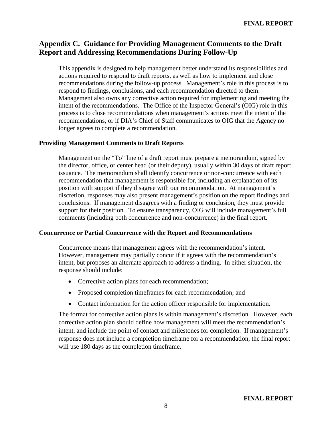#### <span id="page-14-0"></span>**Appendix C. Guidance for Providing Management Comments to the Draft Report and Addressing Recommendations During Follow-Up**

This appendix is designed to help management better understand its responsibilities and actions required to respond to draft reports, as well as how to implement and close recommendations during the follow-up process. Management's role in this process is to respond to findings, conclusions, and each recommendation directed to them. Management also owns any corrective action required for implementing and meeting the intent of the recommendations. The Office of the Inspector General's (OIG) role in this process is to close recommendations when management's actions meet the intent of the recommendations, or if DIA's Chief of Staff communicates to OIG that the Agency no longer agrees to complete a recommendation.

#### **Providing Management Comments to Draft Reports**

Management on the "To" line of a draft report must prepare a memorandum, signed by the director, office, or center head (or their deputy), usually within 30 days of draft report issuance. The memorandum shall identify concurrence or non-concurrence with each recommendation that management is responsible for, including an explanation of its position with support if they disagree with our recommendation. At management's discretion, responses may also present management's position on the report findings and conclusions. If management disagrees with a finding or conclusion, they must provide support for their position. To ensure transparency, OIG will include management's full comments (including both concurrence and non-concurrence) in the final report.

#### **Concurrence or Partial Concurrence with the Report and Recommendations**

Concurrence means that management agrees with the recommendation's intent. However, management may partially concur if it agrees with the recommendation's intent, but proposes an alternate approach to address a finding. In either situation, the response should include:

- Corrective action plans for each recommendation;
- Proposed completion timeframes for each recommendation; and
- Contact information for the action officer responsible for implementation.

The format for corrective action plans is within management's discretion. However, each corrective action plan should define how management will meet the recommendation's intent, and include the point of contact and milestones for completion. If management's response does not include a completion timeframe for a recommendation, the final report will use 180 days as the completion timeframe.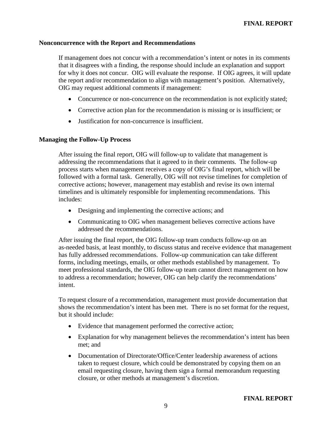#### **Nonconcurrence with the Report and Recommendations**

If management does not concur with a recommendation's intent or notes in its comments that it disagrees with a finding, the response should include an explanation and support for why it does not concur. OIG will evaluate the response. If OIG agrees, it will update the report and/or recommendation to align with management's position. Alternatively, OIG may request additional comments if management:

- Concurrence or non-concurrence on the recommendation is not explicitly stated;
- Corrective action plan for the recommendation is missing or is insufficient; or
- Justification for non-concurrence is insufficient.

#### **Managing the Follow-Up Process**

After issuing the final report, OIG will follow-up to validate that management is addressing the recommendations that it agreed to in their comments. The follow-up process starts when management receives a copy of OIG's final report, which will be followed with a formal task. Generally, OIG will not revise timelines for completion of corrective actions; however, management may establish and revise its own internal timelines and is ultimately responsible for implementing recommendations. This includes:

- Designing and implementing the corrective actions; and
- Communicating to OIG when management believes corrective actions have addressed the recommendations.

After issuing the final report, the OIG follow-up team conducts follow-up on an as-needed basis, at least monthly, to discuss status and receive evidence that management has fully addressed recommendations. Follow-up communication can take different forms, including meetings, emails, or other methods established by management. To meet professional standards, the OIG follow-up team cannot direct management on how to address a recommendation; however, OIG can help clarify the recommendations' intent.

To request closure of a recommendation, management must provide documentation that shows the recommendation's intent has been met. There is no set format for the request, but it should include:

- Evidence that management performed the corrective action;
- Explanation for why management believes the recommendation's intent has been met; and
- Documentation of Directorate/Office/Center leadership awareness of actions taken to request closure, which could be demonstrated by copying them on an email requesting closure, having them sign a formal memorandum requesting closure, or other methods at management's discretion.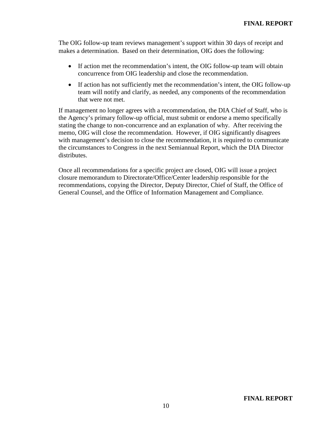The OIG follow-up team reviews management's support within 30 days of receipt and makes a determination. Based on their determination, OIG does the following:

- If action met the recommendation's intent, the OIG follow-up team will obtain concurrence from OIG leadership and close the recommendation.
- If action has not sufficiently met the recommendation's intent, the OIG follow-up team will notify and clarify, as needed, any components of the recommendation that were not met.

If management no longer agrees with a recommendation, the DIA Chief of Staff, who is the Agency's primary follow-up official, must submit or endorse a memo specifically stating the change to non-concurrence and an explanation of why. After receiving the memo, OIG will close the recommendation. However, if OIG significantly disagrees with management's decision to close the recommendation, it is required to communicate the circumstances to Congress in the next Semiannual Report, which the DIA Director distributes.

Once all recommendations for a specific project are closed, OIG will issue a project closure memorandum to Directorate/Office/Center leadership responsible for the recommendations, copying the Director, Deputy Director, Chief of Staff, the Office of General Counsel, and the Office of Information Management and Compliance.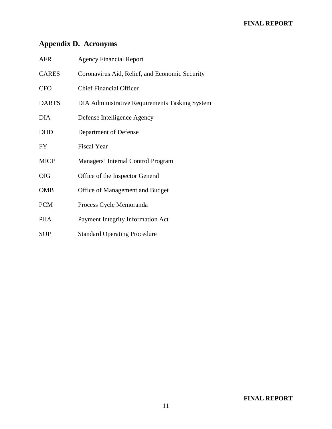#### **FINAL REPORT**

### <span id="page-17-0"></span>**Appendix D. Acronyms**

| AFR          | <b>Agency Financial Report</b>                 |
|--------------|------------------------------------------------|
| <b>CARES</b> | Coronavirus Aid, Relief, and Economic Security |
| <b>CFO</b>   | <b>Chief Financial Officer</b>                 |
| <b>DARTS</b> | DIA Administrative Requirements Tasking System |
| <b>DIA</b>   | Defense Intelligence Agency                    |
| <b>DOD</b>   | Department of Defense                          |
| FY.          | <b>Fiscal Year</b>                             |
| <b>MICP</b>  | Managers' Internal Control Program             |
| <b>OIG</b>   | Office of the Inspector General                |
| <b>OMB</b>   | Office of Management and Budget                |
| <b>PCM</b>   | Process Cycle Memoranda                        |
| <b>PIIA</b>  | Payment Integrity Information Act              |
| <b>SOP</b>   | <b>Standard Operating Procedure</b>            |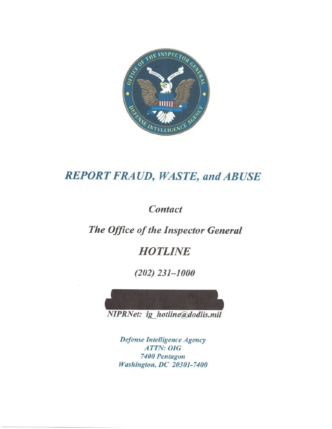

# **REPORT FRAUD, WASTE, and ABUSE**

### **Contact**

### The Office of the Inspector General

### **HOTLINE**

 $(202)$  231-1000



**Defense Intelligence Agency ATTN: OIG** 7400 Pentagon **Washington, DC 20301-7400**